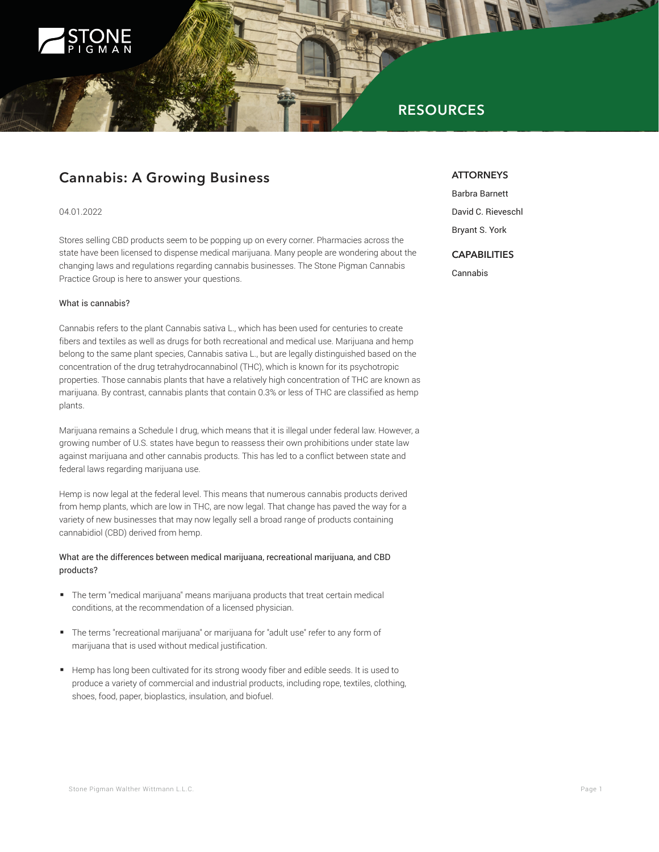

# **RESOURCES**

# **Cannabis: A Growing Business**

### 04.01.2022

Stores selling CBD products seem to be popping up on every corner. Pharmacies across the state have been licensed to dispense medical marijuana. Many people are wondering about the changing laws and regulations regarding cannabis businesses. The Stone Pigman Cannabis Practice Group is here to answer your questions.

#### What is cannabis?

Cannabis refers to the plant Cannabis sativa L., which has been used for centuries to create fibers and textiles as well as drugs for both recreational and medical use. Marijuana and hemp belong to the same plant species, Cannabis sativa L., but are legally distinguished based on the concentration of the drug tetrahydrocannabinol (THC), which is known for its psychotropic properties. Those cannabis plants that have a relatively high concentration of THC are known as marijuana. By contrast, cannabis plants that contain 0.3% or less of THC are classified as hemp plants.

Marijuana remains a Schedule I drug, which means that it is illegal under federal law. However, a growing number of U.S. states have begun to reassess their own prohibitions under state law against marijuana and other cannabis products. This has led to a conflict between state and federal laws regarding marijuana use.

Hemp is now legal at the federal level. This means that numerous cannabis products derived from hemp plants, which are low in THC, are now legal. That change has paved the way for a variety of new businesses that may now legally sell a broad range of products containing cannabidiol (CBD) derived from hemp.

# What are the differences between medical marijuana, recreational marijuana, and CBD products?

- The term "medical marijuana" means marijuana products that treat certain medical conditions, at the recommendation of a licensed physician.
- The terms "recreational marijuana" or marijuana for "adult use" refer to any form of marijuana that is used without medical justification.
- Hemp has long been cultivated for its strong woody fiber and edible seeds. It is used to produce a variety of commercial and industrial products, including rope, textiles, clothing, shoes, food, paper, bioplastics, insulation, and biofuel.

# **ATTORNEYS**

Barbra Barnett David C. Rieveschl

Bryant S. York

# **CAPABILITIES**

Cannabis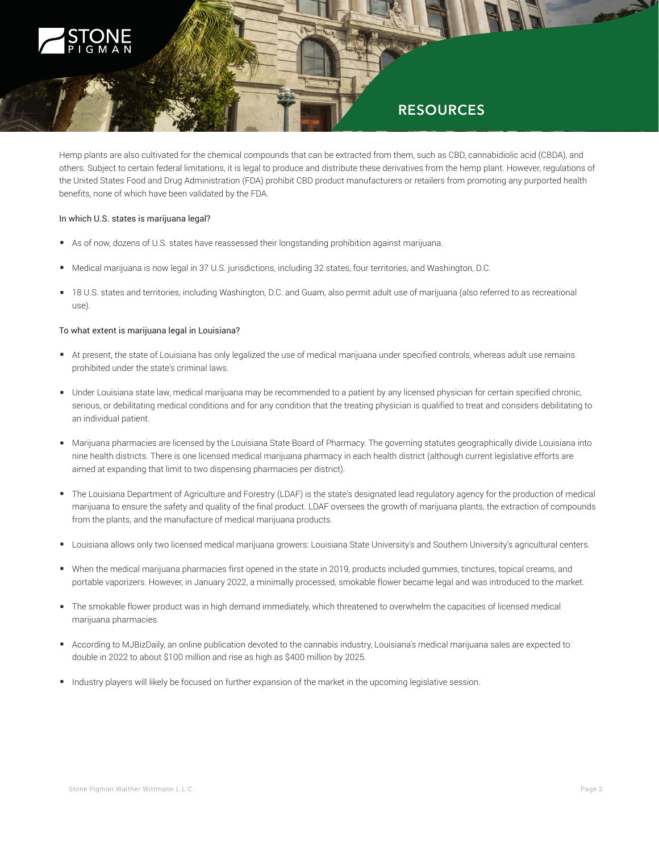

# **RESOURCES**

Hemp plants are also cultivated for the chemical compounds that can be extracted from them, such as CBD, cannabidiolic acid (CBDA), and others. Subject to certain federal limitations, it is legal to produce and distribute these derivatives from the hemp plant. However, regulations of the United States Food and Drug Administration (FDA) prohibit CBD product manufacturers or retailers from promoting any purported health benefits, none of which have been validated by the FDA.

### In which U.S. states is marijuana legal?

- As of now, dozens of U.S. states have reassessed their longstanding prohibition against marijuana.
- Medical marijuana is now legal in 37 U.S. jurisdictions, including 32 states, four territories, and Washington, D.C.
- 18 U.S. states and territories, including Washington, D.C. and Guam, also permit adult use of marijuana (also referred to as recreational use).

# To what extent is marijuana legal in Louisiana?

- At present, the state of Louisiana has only legalized the use of medical marijuana under specified controls, whereas adult use remains prohibited under the state's criminal laws.
- Under Louisiana state law, medical marijuana may be recommended to a patient by any licensed physician for certain specified chronic, serious, or debilitating medical conditions and for any condition that the treating physician is qualified to treat and considers debilitating to an individual patient.
- Marijuana pharmacies are licensed by the Louisiana State Board of Pharmacy. The governing statutes geographically divide Louisiana into nine health districts. There is one licensed medical marijuana pharmacy in each health district (although current legislative efforts are aimed at expanding that limit to two dispensing pharmacies per district).
- The Louisiana Department of Agriculture and Forestry (LDAF) is the state's designated lead regulatory agency for the production of medical marijuana to ensure the safety and quality of the final product. LDAF oversees the growth of marijuana plants, the extraction of compounds from the plants, and the manufacture of medical marijuana products.
- Louisiana allows only two licensed medical marijuana growers: Louisiana State University's and Southern University's agricultural centers.
- When the medical marijuana pharmacies first opened in the state in 2019, products included gummies, tinctures, topical creams, and portable vaporizers. However, in January 2022, a minimally processed, smokable flower became legal and was introduced to the market.
- The smokable flower product was in high demand immediately, which threatened to overwhelm the capacities of licensed medical marijuana pharmacies.
- According to MJBizDaily, an online publication devoted to the cannabis industry, Louisiana's medical marijuana sales are expected to double in 2022 to about \$100 million and rise as high as \$400 million by 2025.
- Industry players will likely be focused on further expansion of the market in the upcoming legislative session.